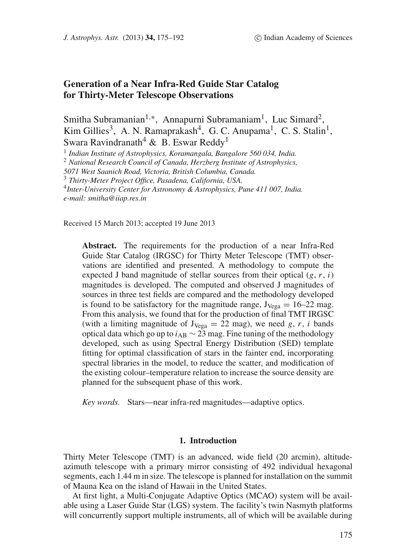# **Generation of a Near Infra-Red Guide Star Catalog for Thirty-Meter Telescope Observations**

Smitha Subramanian<sup>1,∗</sup>, Annapurni Subramaniam<sup>1</sup>, Luc Simard<sup>2</sup>, Kim Gillies<sup>3</sup>, A. N. Ramaprakash<sup>4</sup>, G. C. Anupama<sup>1</sup>, C. S. Stalin<sup>1</sup>, Swara Ravindranath<sup>4</sup> & B. Eswar Reddy<sup>1</sup>

<sup>1</sup> *Indian Institute of Astrophysics, Koramangala, Bangalore 560 034, India.*

<sup>2</sup> *National Research Council of Canada, Herzberg Institute of Astrophysics,*

*5071 West Saanich Road, Victoria, British Columbia, Canada.*

<sup>4</sup>*Inter-University Center for Astronomy & Astrophysics, Pune 411 007, India. e-mail: smitha@iiap.res.in*

Received 15 March 2013; accepted 19 June 2013

**Abstract.** The requirements for the production of a near Infra-Red Guide Star Catalog (IRGSC) for Thirty Meter Telescope (TMT) observations are identified and presented. A methodology to compute the expected J band magnitude of stellar sources from their optical  $(g, r, i)$ magnitudes is developed. The computed and observed J magnitudes of sources in three test fields are compared and the methodology developed is found to be satisfactory for the magnitude range,  $J_{\text{Vega}} = 16-22$  mag. From this analysis, we found that for the production of final TMT IRGSC (with a limiting magnitude of  $J_{\text{Vega}} = 22 \text{ mag}$ ), we need *g*, *r*, *i* bands optical data which go up to  $i_{AB} \sim 23$  mag. Fine tuning of the methodology developed, such as using Spectral Energy Distribution (SED) template fitting for optimal classification of stars in the fainter end, incorporating spectral libraries in the model, to reduce the scatter, and modification of the existing colour–temperature relation to increase the source density are planned for the subsequent phase of this work.

*Key words.* Stars—near infra-red magnitudes—adaptive optics.

#### **1. Introduction**

Thirty Meter Telescope (TMT) is an advanced, wide field (20 arcmin), altitudeazimuth telescope with a primary mirror consisting of 492 individual hexagonal segments, each 1.44 m in size. The telescope is planned for installation on the summit of Mauna Kea on the island of Hawaii in the United States.

At first light, a Multi-Conjugate Adaptive Optics (MCAO) system will be available using a Laser Guide Star (LGS) system. The facility's twin Nasmyth platforms will concurrently support multiple instruments, all of which will be available during

<sup>3</sup> *Thirty-Meter Project Office, Pasadena, California, USA.*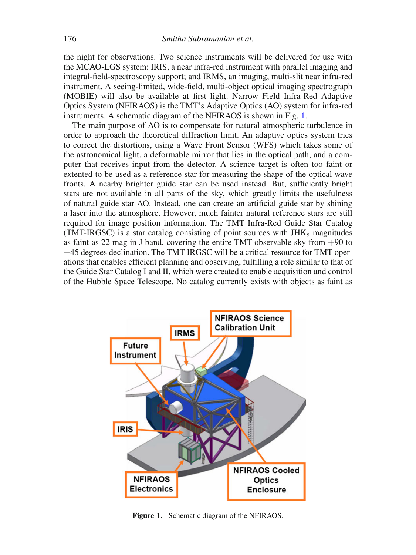the night for observations. Two science instruments will be delivered for use with the MCAO-LGS system: IRIS, a near infra-red instrument with parallel imaging and integral-field-spectroscopy support; and IRMS, an imaging, multi-slit near infra-red instrument. A seeing-limited, wide-field, multi-object optical imaging spectrograph (MOBIE) will also be available at first light. Narrow Field Infra-Red Adaptive Optics System (NFIRAOS) is the TMT's Adaptive Optics (AO) system for infra-red instruments. A schematic diagram of the NFIRAOS is shown in Fig. [1.](#page-1-0)

The main purpose of AO is to compensate for natural atmospheric turbulence in order to approach the theoretical diffraction limit. An adaptive optics system tries to correct the distortions, using a Wave Front Sensor (WFS) which takes some of the astronomical light, a deformable mirror that lies in the optical path, and a computer that receives input from the detector. A science target is often too faint or extented to be used as a reference star for measuring the shape of the optical wave fronts. A nearby brighter guide star can be used instead. But, sufficiently bright stars are not available in all parts of the sky, which greatly limits the usefulness of natural guide star AO. Instead, one can create an artificial guide star by shining a laser into the atmosphere. However, much fainter natural reference stars are still required for image position information. The TMT Infra-Red Guide Star Catalog (TMT-IRGSC) is a star catalog consisting of point sources with JHK*s* magnitudes as faint as 22 mag in J band, covering the entire TMT-observable sky from +90 to −45 degrees declination. The TMT-IRGSC will be a critical resource for TMT operations that enables efficient planning and observing, fulfilling a role similar to that of the Guide Star Catalog I and II, which were created to enable acquisition and control of the Hubble Space Telescope. No catalog currently exists with objects as faint as

<span id="page-1-0"></span>

**Figure 1.** Schematic diagram of the NFIRAOS.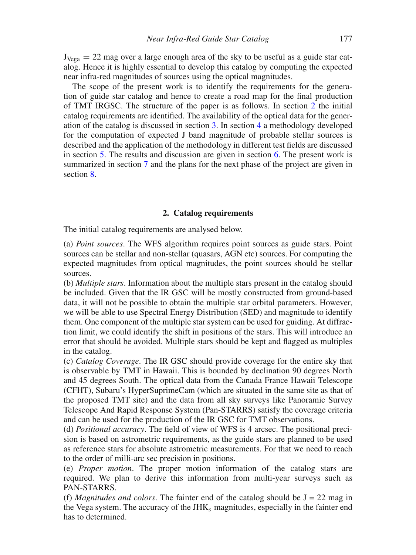$J_{V_{\rm PQ2}} = 22$  mag over a large enough area of the sky to be useful as a guide star catalog. Hence it is highly essential to develop this catalog by computing the expected near infra-red magnitudes of sources using the optical magnitudes.

The scope of the present work is to identify the requirements for the generation of guide star catalog and hence to create a road map for the final production of TMT IRGSC. The structure of the paper is as follows. In section [2](#page-2-0) the initial catalog requirements are identified. The availability of the optical data for the generation of the catalog is discussed in section [3.](#page-3-0) In section [4](#page-4-0) a methodology developed for the computation of expected J band magnitude of probable stellar sources is described and the application of the methodology in different test fields are discussed in section [5.](#page-8-0) The results and discussion are given in section [6.](#page-14-0) The present work is summarized in section [7](#page-15-0) and the plans for the next phase of the project are given in section [8.](#page-16-0)

## **2. Catalog requirements**

<span id="page-2-0"></span>The initial catalog requirements are analysed below.

(a) *Point sources*. The WFS algorithm requires point sources as guide stars. Point sources can be stellar and non-stellar (quasars, AGN etc) sources. For computing the expected magnitudes from optical magnitudes, the point sources should be stellar sources.

(b) *Multiple stars*. Information about the multiple stars present in the catalog should be included. Given that the IR GSC will be mostly constructed from ground-based data, it will not be possible to obtain the multiple star orbital parameters. However, we will be able to use Spectral Energy Distribution (SED) and magnitude to identify them. One component of the multiple star system can be used for guiding. At diffraction limit, we could identify the shift in positions of the stars. This will introduce an error that should be avoided. Multiple stars should be kept and flagged as multiples in the catalog.

(c) *Catalog Coverage*. The IR GSC should provide coverage for the entire sky that is observable by TMT in Hawaii. This is bounded by declination 90 degrees North and 45 degrees South. The optical data from the Canada France Hawaii Telescope (CFHT), Subaru's HyperSuprimeCam (which are situated in the same site as that of the proposed TMT site) and the data from all sky surveys like Panoramic Survey Telescope And Rapid Response System (Pan-STARRS) satisfy the coverage criteria and can be used for the production of the IR GSC for TMT observations.

(d) *Positional accuracy*. The field of view of WFS is 4 arcsec. The positional precision is based on astrometric requirements, as the guide stars are planned to be used as reference stars for absolute astrometric measurements. For that we need to reach to the order of milli-arc sec precision in positions.

(e) *Proper motion*. The proper motion information of the catalog stars are required. We plan to derive this information from multi-year surveys such as PAN-STARRS.

(f) *Magnitudes and colors*. The fainter end of the catalog should be  $J = 22$  mag in the Vega system. The accuracy of the JHK*s* magnitudes, especially in the fainter end has to determined.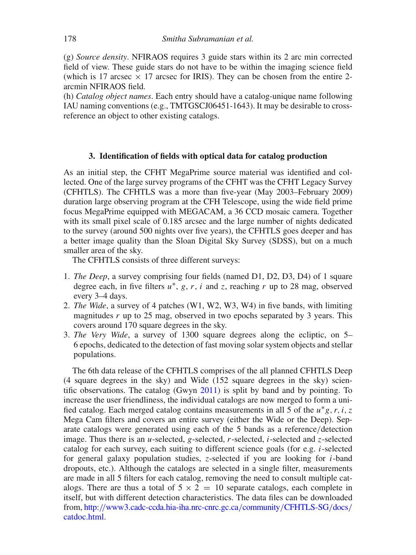(g) *Source density*. NFIRAOS requires 3 guide stars within its 2 arc min corrected field of view. These guide stars do not have to be within the imaging science field (which is 17 arcsec  $\times$  17 arcsec for IRIS). They can be chosen from the entire 2arcmin NFIRAOS field.

(h) *Catalog object names*. Each entry should have a catalog-unique name following IAU naming conventions (e.g., TMTGSCJ06451-1643). It may be desirable to crossreference an object to other existing catalogs.

# **3. Identification of fields with optical data for catalog production**

<span id="page-3-0"></span>As an initial step, the CFHT MegaPrime source material was identified and collected. One of the large survey programs of the CFHT was the CFHT Legacy Survey (CFHTLS). The CFHTLS was a more than five-year (May 2003–February 2009) duration large observing program at the CFH Telescope, using the wide field prime focus MegaPrime equipped with MEGACAM, a 36 CCD mosaic camera. Together with its small pixel scale of 0.185 arcsec and the large number of nights dedicated to the survey (around 500 nights over five years), the CFHTLS goes deeper and has a better image quality than the Sloan Digital Sky Survey (SDSS), but on a much smaller area of the sky.

The CFHTLS consists of three different surveys:

- 1. *The Deep*, a survey comprising four fields (named D1, D2, D3, D4) of 1 square degree each, in five filters  $u^*$ ,  $g, r, i$  and  $z$ , reaching  $r$  up to 28 mag, observed every 3–4 days.
- 2. *The Wide*, a survey of 4 patches (W1, W2, W3, W4) in five bands, with limiting magnitudes  $r$  up to 25 mag, observed in two epochs separated by 3 years. This covers around 170 square degrees in the sky.
- 3. *The Very Wide*, a survey of 1300 square degrees along the ecliptic, on 5– 6 epochs, dedicated to the detection of fast moving solar system objects and stellar populations.

The 6th data release of the CFHTLS comprises of the all planned CFHTLS Deep (4 square degrees in the sky) and Wide (152 square degrees in the sky) scientific observations. The catalog (Gwy[n](#page-17-0) [2011\)](#page-17-0) is split by band and by pointing. To increase the user friendliness, the individual catalogs are now merged to form a unified catalog. Each merged catalog contains measurements in all 5 of the *u*∗*g*,*r*,*i*,*z* Mega Cam filters and covers an entire survey (either the Wide or the Deep). Separate catalogs were generated using each of the 5 bands as a reference/detection image. Thus there is an *u*-selected, *g*-selected, *r*-selected, *i*-selected and *z*-selected catalog for each survey, each suiting to different science goals (for e.g. *i*-selected for general galaxy population studies, *z*-selected if you are looking for *i*-band dropouts, etc.). Although the catalogs are selected in a single filter, measurements are made in all 5 filters for each catalog, removing the need to consult multiple catalogs. There are thus a total of  $5 \times 2 = 10$  separate catalogs, each complete in itself, but with different detection characteristics. The data files can be downloaded from, http://[www3.cadc-ccda.hia-iha.nrc-cnrc.gc.ca](http://www3.cadc-ccda.hia-iha.nrc-cnrc.gc.ca/community/CFHTLS-SG/docs/catdoc.html)/community/CFHTLS-SG/docs/ [catdoc.html.](http://www3.cadc-ccda.hia-iha.nrc-cnrc.gc.ca/community/CFHTLS-SG/docs/catdoc.html)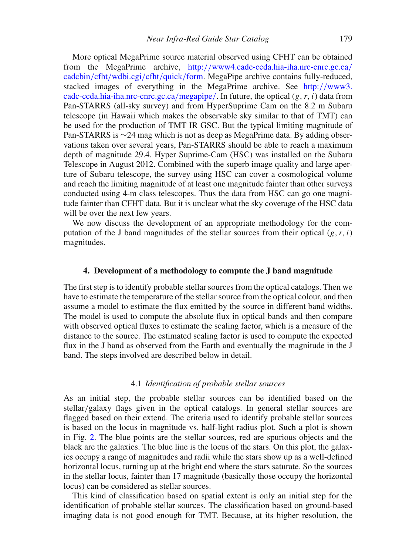More optical MegaPrime source material observed using CFHT can be obtained from the MegaPrime archive, http://[www4.cadc-ccda.hia-iha.nrc-cnrc.gc.ca](http://www4.cadc-ccda.hia-iha.nrc-cnrc.gc.ca/cadcbin/cfht/wdbi.cgi/cfht/quick/form)/ cadcbin/cfht/[wdbi.cgi](http://www4.cadc-ccda.hia-iha.nrc-cnrc.gc.ca/cadcbin/cfht/wdbi.cgi/cfht/quick/form)/cfht/quick/form. MegaPipe archive contains fully-reduced, stacked images of everything in the MegaPrime archive. See http://[www3.](http://www3.cadc-ccda.hia-iha.nrc-cnrc.gc.ca/megapipe/) [cadc-ccda.hia-iha.nrc-cnrc.gc.ca](http://www3.cadc-ccda.hia-iha.nrc-cnrc.gc.ca/megapipe/)/megapipe/. In future, the optical (*g*,*r*,*i*) data from Pan-STARRS (all-sky survey) and from HyperSuprime Cam on the 8.2 m Subaru telescope (in Hawaii which makes the observable sky similar to that of TMT) can be used for the production of TMT IR GSC. But the typical limiting magnitude of Pan-STARRS is ∼24 mag which is not as deep as MegaPrime data. By adding observations taken over several years, Pan-STARRS should be able to reach a maximum depth of magnitude 29.4. Hyper Suprime-Cam (HSC) was installed on the Subaru Telescope in August 2012. Combined with the superb image quality and large aperture of Subaru telescope, the survey using HSC can cover a cosmological volume and reach the limiting magnitude of at least one magnitude fainter than other surveys conducted using 4-m class telescopes. Thus the data from HSC can go one magnitude fainter than CFHT data. But it is unclear what the sky coverage of the HSC data will be over the next few years.

We now discuss the development of an appropriate methodology for the computation of the J band magnitudes of the stellar sources from their optical  $(g, r, i)$ magnitudes.

### <span id="page-4-0"></span>**4. Development of a methodology to compute the J band magnitude**

The first step is to identify probable stellar sources from the optical catalogs. Then we have to estimate the temperature of the stellar source from the optical colour, and then assume a model to estimate the flux emitted by the source in different band widths. The model is used to compute the absolute flux in optical bands and then compare with observed optical fluxes to estimate the scaling factor, which is a measure of the distance to the source. The estimated scaling factor is used to compute the expected flux in the J band as observed from the Earth and eventually the magnitude in the J band. The steps involved are described below in detail.

# 4.1 *Identification of probable stellar sources*

<span id="page-4-1"></span>As an initial step, the probable stellar sources can be identified based on the stellar/galaxy flags given in the optical catalogs. In general stellar sources are flagged based on their extend. The criteria used to identify probable stellar sources is based on the locus in magnitude vs. half-light radius plot. Such a plot is shown in Fig. [2.](#page-5-0) The blue points are the stellar sources, red are spurious objects and the black are the galaxies. The blue line is the locus of the stars. On this plot, the galaxies occupy a range of magnitudes and radii while the stars show up as a well-defined horizontal locus, turning up at the bright end where the stars saturate. So the sources in the stellar locus, fainter than 17 magnitude (basically those occupy the horizontal locus) can be considered as stellar sources.

This kind of classification based on spatial extent is only an initial step for the identification of probable stellar sources. The classification based on ground-based imaging data is not good enough for TMT. Because, at its higher resolution, the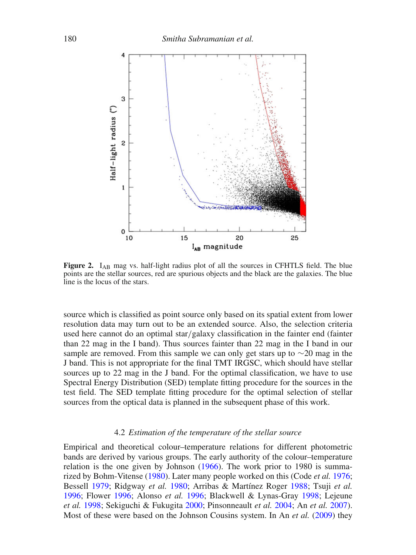<span id="page-5-0"></span>

**Figure 2.** I<sub>AB</sub> mag vs. half-light radius plot of all the sources in CFHTLS field. The blue points are the stellar sources, red are spurious objects and the black are the galaxies. The blue line is the locus of the stars.

source which is classified as point source only based on its spatial extent from lower resolution data may turn out to be an extended source. Also, the selection criteria used here cannot do an optimal star/galaxy classification in the fainter end (fainter than 22 mag in the I band). Thus sources fainter than 22 mag in the I band in our sample are removed. From this sample we can only get stars up to ∼20 mag in the J band. This is not appropriate for the final TMT IRGSC, which should have stellar sources up to 22 mag in the J band. For the optimal classification, we have to use Spectral Energy Distribution (SED) template fitting procedure for the sources in the test field. The SED template fitting procedure for the optimal selection of stellar sources from the optical data is planned in the subsequent phase of this work.

#### 4.2 *Estimation of the temperature of the stellar source*

<span id="page-5-1"></span>Empirical and theoretical colour–temperature relations for different photometric bands are derived by various groups. The early authority of the colour–temperature relation is the one given by Johnso[n](#page-17-1) [\(1966\)](#page-17-1). The work prior to 1980 is summarized by Bohm-Vitens[e](#page-17-2) [\(1980\)](#page-17-2). Later many people worked on this (Code *et al[.](#page-17-3)* [1976](#page-17-3); Bessel[l](#page-17-4) [1979;](#page-17-4) Ridgway *et al[.](#page-17-5)* [1980;](#page-17-5) Arribas & Martínez Roge[r](#page-17-6) [1988](#page-17-6); Tsuji *et al[.](#page-17-7)* [1996](#page-17-7); Flowe[r](#page-17-8) [1996;](#page-17-8) Alonso *et al[.](#page-16-1)* [1996](#page-16-1); Blackwell & Lynas-Gra[y](#page-17-9) [1998](#page-17-9); Lejeune *et al[.](#page-17-10)* [1998;](#page-17-10) Sekiguchi & Fukugit[a](#page-17-11) [2000](#page-17-11); Pinsonneault *et al[.](#page-17-12)* [2004](#page-17-12); An *et al[.](#page-16-2)* [2007](#page-16-2)). Most of these were based on the Johnson Cousins system. In An *et al[.](#page-16-3)* [\(2009\)](#page-16-3) they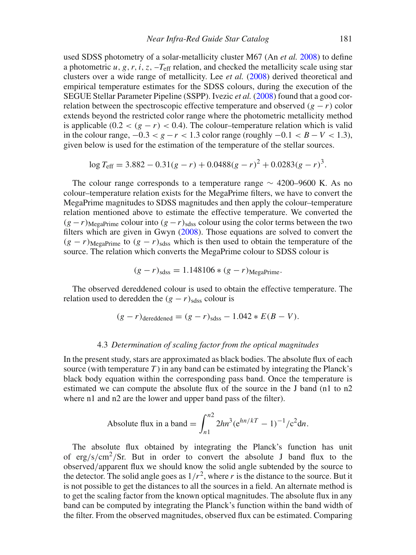used SDSS photometry of a solar-metallicity cluster M67 (An *et al[.](#page-16-4)* [2008](#page-16-4)) to define a photometric  $u$ ,  $g$ ,  $r$ ,  $i$ ,  $z$ ,  $-T_{\text{eff}}$  relation, and checked the metallicity scale using star clusters over a wide range of metallicity. Lee *et al[.](#page-17-13)* [\(2008](#page-17-13)) derived theoretical and empirical temperature estimates for the SDSS colours, during the execution of the SEGUE Stellar Parameter Pipeline (SSPP). Ivezic *et al[.](#page-17-14)* [\(2008](#page-17-14)) found that a good correlation between the spectroscopic effective temperature and observed  $(g - r)$  color extends beyond the restricted color range where the photometric metallicity method is applicable (0.2 <  $(g - r)$  < 0.4). The colour-temperature relation which is valid in the colour range,  $-0.3 < g - r < 1.3$  color range (roughly  $-0.1 < B - V < 1.3$ ), given below is used for the estimation of the temperature of the stellar sources.

$$
\log T_{\text{eff}} = 3.882 - 0.31(g - r) + 0.0488(g - r)^{2} + 0.0283(g - r)^{3}.
$$

The colour range corresponds to a temperature range  $\sim$  4200–9600 K. As no colour–temperature relation exists for the MegaPrime filters, we have to convert the MegaPrime magnitudes to SDSS magnitudes and then apply the colour–temperature relation mentioned above to estimate the effective temperature. We converted the  $(g - r)$ <sub>MegaPrime</sub> colour into  $(g - r)$ <sub>sdss</sub> colour using the color terms between the two filters which are given in Gwy[n](#page-17-15) [\(2008](#page-17-15)). Those equations are solved to convert the  $(g - r)$ <sub>MegaPrime</sub> to  $(g - r)$ <sub>sdss</sub> which is then used to obtain the temperature of the source. The relation which converts the MegaPrime colour to SDSS colour is

$$
(g - r)_{\text{sdss}} = 1.148106 * (g - r)_{\text{MegaPrime}}.
$$

The observed dereddened colour is used to obtain the effective temperature. The relation used to deredden the  $(g - r)_{\text{sdss}}$  colour is

$$
(g - r)_{\text{dereddened}} = (g - r)_{\text{sdss}} - 1.042 * E(B - V).
$$

#### 4.3 *Determination of scaling factor from the optical magnitudes*

In the present study, stars are approximated as black bodies. The absolute flux of each source (with temperature  $T$ ) in any band can be estimated by integrating the Planck's black body equation within the corresponding pass band. Once the temperature is estimated we can compute the absolute flux of the source in the J band (n1 to n2 where n1 and n2 are the lower and upper band pass of the filter).

Absolute flux in a band = 
$$
\int_{n1}^{n2} 2hn^3 (e^{hn/kT} - 1)^{-1} / c^2 dn.
$$

The absolute flux obtained by integrating the Planck's function has unit of  $erg/s/cm<sup>2</sup>/Sr$ . But in order to convert the absolute J band flux to the observed/apparent flux we should know the solid angle subtended by the source to the detector. The solid angle goes as  $1/r^2$ , where *r* is the distance to the source. But it is not possible to get the distances to all the sources in a field. An alternate method is to get the scaling factor from the known optical magnitudes. The absolute flux in any band can be computed by integrating the Planck's function within the band width of the filter. From the observed magnitudes, observed flux can be estimated. Comparing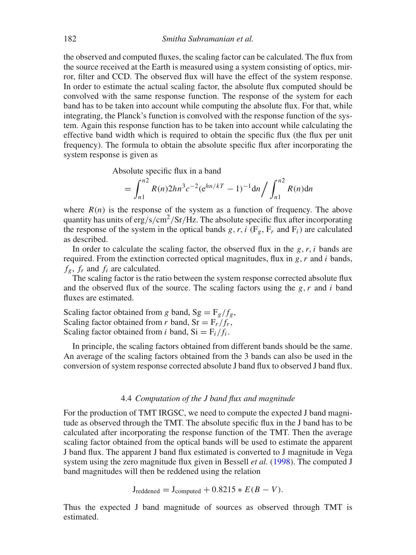the observed and computed fluxes, the scaling factor can be calculated. The flux from the source received at the Earth is measured using a system consisting of optics, mirror, filter and CCD. The observed flux will have the effect of the system response. In order to estimate the actual scaling factor, the absolute flux computed should be convolved with the same response function. The response of the system for each band has to be taken into account while computing the absolute flux. For that, while integrating, the Planck's function is convolved with the response function of the system. Again this response function has to be taken into account while calculating the effective band width which is required to obtain the specific flux (the flux per unit frequency). The formula to obtain the absolute specific flux after incorporating the system response is given as

Absolute specific flux in a band

$$
= \int_{n1}^{n2} R(n) 2hn^3 c^{-2} (e^{hn/kT} - 1)^{-1} dn / \int_{n1}^{n2} R(n) dn
$$

where  $R(n)$  is the response of the system as a function of frequency. The above quantity has units of  $\text{erg/s/cm}^2\text{/Sr/Hz}$ . The absolute specific flux after incorporating the response of the system in the optical bands  $g, r, i$  ( $F_g, F_r$  and  $F_i$ ) are calculated as described.

In order to calculate the scaling factor, the observed flux in the  $g, r, i$  bands are required. From the extinction corrected optical magnitudes, flux in *g*,*r* and *i* bands, *fg*, *fr* and *fi* are calculated.

The scaling factor is the ratio between the system response corrected absolute flux and the observed flux of the source. The scaling factors using the *g*,*r* and *i* band fluxes are estimated.

Scaling factor obtained from *g* band,  $Sg = F_g/f_g$ , Scaling factor obtained from *r* band,  $Sr = F_r/f_r$ , Scaling factor obtained from *i* band,  $Si = F_i/f_i$ .

In principle, the scaling factors obtained from different bands should be the same. An average of the scaling factors obtained from the 3 bands can also be used in the conversion of system response corrected absolute J band flux to observed J band flux.

#### 4.4 *Computation of the J band flux and magnitude*

<span id="page-7-0"></span>For the production of TMT IRGSC, we need to compute the expected J band magnitude as observed through the TMT. The absolute specific flux in the J band has to be calculated after incorporating the response function of the TMT. Then the average scaling factor obtained from the optical bands will be used to estimate the apparent J band flux. The apparent J band flux estimated is converted to J magnitude in Vega system using the zero magnitude flux given in Bessell *et al[.](#page-17-16)* [\(1998](#page-17-16)). The computed J band magnitudes will then be reddened using the relation

$$
J_{reddened} = J_{computed} + 0.8215 * E(B - V).
$$

Thus the expected J band magnitude of sources as observed through TMT is estimated.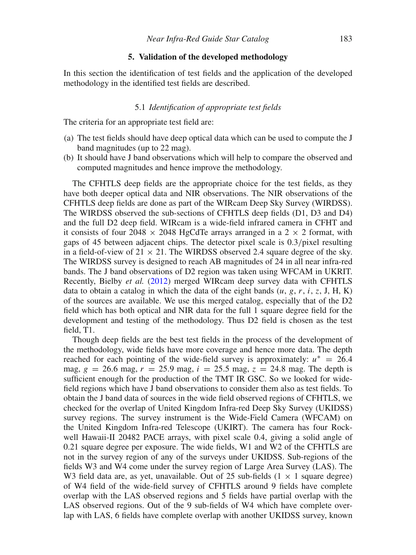# **5. Validation of the developed methodology**

<span id="page-8-0"></span>In this section the identification of test fields and the application of the developed methodology in the identified test fields are described.

#### 5.1 *Identification of appropriate test fields*

The criteria for an appropriate test field are:

- (a) The test fields should have deep optical data which can be used to compute the J band magnitudes (up to 22 mag).
- (b) It should have J band observations which will help to compare the observed and computed magnitudes and hence improve the methodology.

The CFHTLS deep fields are the appropriate choice for the test fields, as they have both deeper optical data and NIR observations. The NIR observations of the CFHTLS deep fields are done as part of the WIRcam Deep Sky Survey (WIRDSS). The WIRDSS observed the sub-sections of CFHTLS deep fields (D1, D3 and D4) and the full D2 deep field. WIRcam is a wide-field infrared camera in CFHT and it consists of four 2048  $\times$  2048 HgCdTe arrays arranged in a 2  $\times$  2 format, with gaps of 45 between adjacent chips. The detector pixel scale is 0.3/pixel resulting in a field-of-view of  $21 \times 21$ . The WIRDSS observed 2.4 square degree of the sky. The WIRDSS survey is designed to reach AB magnitudes of 24 in all near infra-red bands. The J band observations of D2 region was taken using WFCAM in UKRIT. Recently, Bielby *et al[.](#page-17-17)* [\(2012\)](#page-17-17) merged WIRcam deep survey data with CFHTLS data to obtain a catalog in which the data of the eight bands  $(u, g, r, i, z, J, H, K)$ of the sources are available. We use this merged catalog, especially that of the D2 field which has both optical and NIR data for the full 1 square degree field for the development and testing of the methodology. Thus D2 field is chosen as the test field, T1.

Though deep fields are the best test fields in the process of the development of the methodology, wide fields have more coverage and hence more data. The depth reached for each pointing of the wide-field survey is approximately:  $u^* = 26.4$ mag,  $g = 26.6$  mag,  $r = 25.9$  mag,  $i = 25.5$  mag,  $z = 24.8$  mag. The depth is sufficient enough for the production of the TMT IR GSC. So we looked for widefield regions which have J band observations to consider them also as test fields. To obtain the J band data of sources in the wide field observed regions of CFHTLS, we checked for the overlap of United Kingdom Infra-red Deep Sky Survey (UKIDSS) survey regions. The survey instrument is the Wide-Field Camera (WFCAM) on the United Kingdom Infra-red Telescope (UKIRT). The camera has four Rockwell Hawaii-II 20482 PACE arrays, with pixel scale 0.4, giving a solid angle of 0.21 square degree per exposure. The wide fields, W1 and W2 of the CFHTLS are not in the survey region of any of the surveys under UKIDSS. Sub-regions of the fields W3 and W4 come under the survey region of Large Area Survey (LAS). The W3 field data are, as yet, unavailable. Out of 25 sub-fields  $(1 \times 1)$  square degree) of W4 field of the wide-field survey of CFHTLS around 9 fields have complete overlap with the LAS observed regions and 5 fields have partial overlap with the LAS observed regions. Out of the 9 sub-fields of W4 which have complete overlap with LAS, 6 fields have complete overlap with another UKIDSS survey, known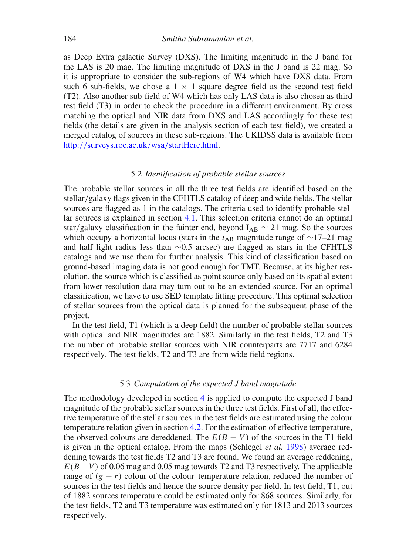as Deep Extra galactic Survey (DXS). The limiting magnitude in the J band for the LAS is 20 mag. The limiting magnitude of DXS in the J band is 22 mag. So it is appropriate to consider the sub-regions of W4 which have DXS data. From such 6 sub-fields, we chose a  $1 \times 1$  square degree field as the second test field (T2). Also another sub-field of W4 which has only LAS data is also chosen as third test field (T3) in order to check the procedure in a different environment. By cross matching the optical and NIR data from DXS and LAS accordingly for these test fields (the details are given in the analysis section of each test field), we created a merged catalog of sources in these sub-regions. The UKIDSS data is available from http://[surveys.roe.ac.uk](http://surveys.roe.ac.uk/wsa/startHere.html)/wsa/startHere.html.

#### 5.2 *Identification of probable stellar sources*

The probable stellar sources in all the three test fields are identified based on the stellar/galaxy flags given in the CFHTLS catalog of deep and wide fields. The stellar sources are flagged as 1 in the catalogs. The criteria used to identify probable stellar sources is explained in section [4.1.](#page-4-1) This selection criteria cannot do an optimal star/galaxy classification in the fainter end, beyond  $I_{AB} \sim 21$  mag. So the sources which occupy a horizontal locus (stars in the  $i<sub>AB</sub>$  magnitude range of ~17–21 mag and half light radius less than ∼0.5 arcsec) are flagged as stars in the CFHTLS catalogs and we use them for further analysis. This kind of classification based on ground-based imaging data is not good enough for TMT. Because, at its higher resolution, the source which is classified as point source only based on its spatial extent from lower resolution data may turn out to be an extended source. For an optimal classification, we have to use SED template fitting procedure. This optimal selection of stellar sources from the optical data is planned for the subsequent phase of the project.

In the test field, T1 (which is a deep field) the number of probable stellar sources with optical and NIR magnitudes are 1882. Similarly in the test fields, T2 and T3 the number of probable stellar sources with NIR counterparts are 7717 and 6284 respectively. The test fields, T2 and T3 are from wide field regions.

### 5.3 *Computation of the expected J band magnitude*

The methodology developed in section [4](#page-4-0) is applied to compute the expected J band magnitude of the probable stellar sources in the three test fields. First of all, the effective temperature of the stellar sources in the test fields are estimated using the colour temperature relation given in section [4.2.](#page-5-1) For the estimation of effective temperature, the observed colours are dereddened. The  $E(B - V)$  of the sources in the T1 field is given in the optical catalog. From the maps (Schlegel *et al[.](#page-17-18)* [1998](#page-17-18)) average reddening towards the test fields T2 and T3 are found. We found an average reddening, *E*(*B* − *V*) of 0.06 mag and 0.05 mag towards T2 and T3 respectively. The applicable range of  $(g - r)$  colour of the colour–temperature relation, reduced the number of sources in the test fields and hence the source density per field. In test field, T1, out of 1882 sources temperature could be estimated only for 868 sources. Similarly, for the test fields, T2 and T3 temperature was estimated only for 1813 and 2013 sources respectively.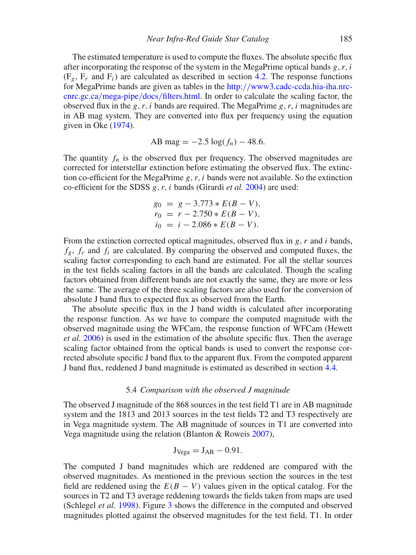The estimated temperature is used to compute the fluxes. The absolute specific flux after incorporating the response of the system in the MegaPrime optical bands *g*,*r*,*i*  $(F_g, F_r$  and  $F_i$ ) are calculated as described in section [4.2.](#page-5-1) The response functions for MegaPrime bands are given as tables in the http://[www3.cadc-ccda.hia-iha.nrc](http://www3.cadc-ccda.hia-iha.nrc-cnrc.gc.ca/mega-pipe/docs/filters.html)cnrc.gc.ca/mega-pipe/docs/[filters.html.](http://www3.cadc-ccda.hia-iha.nrc-cnrc.gc.ca/mega-pipe/docs/filters.html) In order to calculate the scaling factor, the observed flux in the *g*,*r*,*i* bands are required. The MegaPrime *g*,*r*,*i* magnitudes are in AB mag system. They are converted into flux per frequency using the equation given in Ok[e](#page-17-19) [\(1974](#page-17-19)).

AB mag = 
$$
-2.5 \log(f_n) - 48.6
$$
.

The quantity  $f_n$  is the observed flux per frequency. The observed magnitudes are corrected for interstellar extinction before estimating the observed flux. The extinction co-efficient for the MegaPrime  $g, r, i$  bands were not available. So the extinction co-efficient for the SDSS *g*,*r*,*i* bands (Girardi *et al[.](#page-17-20)* [2004](#page-17-20)) are used:

$$
g_0 = g - 3.773 * E(B - V),
$$
  
\n
$$
r_0 = r - 2.750 * E(B - V),
$$
  
\n
$$
i_0 = i - 2.086 * E(B - V).
$$

From the extinction corrected optical magnitudes, observed flux in *g*,*r* and *i* bands,  $f_g$ ,  $f_r$  and  $f_i$  are calculated. By comparing the observed and computed fluxes, the scaling factor corresponding to each band are estimated. For all the stellar sources in the test fields scaling factors in all the bands are calculated. Though the scaling factors obtained from different bands are not exactly the same, they are more or less the same. The average of the three scaling factors are also used for the conversion of absolute J band flux to expected flux as observed from the Earth.

The absolute specific flux in the J band width is calculated after incorporating the response function. As we have to compare the computed magnitude with the observed magnitude using the WFCam, the response function of WFCam (Hewett *et al[.](#page-17-21)* [2006](#page-17-21)) is used in the estimation of the absolute specific flux. Then the average scaling factor obtained from the optical bands is used to convert the response corrected absolute specific J band flux to the apparent flux. From the computed apparent J band flux, reddened J band magnitude is estimated as described in section [4.4.](#page-7-0)

#### 5.4 *Comparison with the observed J magnitude*

The observed J magnitude of the 868 sources in the test field T1 are in AB magnitude system and the 1813 and 2013 sources in the test fields T2 and T3 respectively are in Vega magnitude system. The AB magnitude of sources in T1 are converted into Vega magnitude using the relation (Blanton & Rowei[s](#page-17-22) [2007](#page-17-22)),

$$
J_{\text{Vega}} = J_{AB} - 0.91.
$$

The computed J band magnitudes which are reddened are compared with the observed magnitudes. As mentioned in the previous section the sources in the test field are reddened using the  $E(B - V)$  values given in the optical catalog. For the sources in T2 and T3 average reddening towards the fields taken from maps are used (Schlegel *et al[.](#page-17-18)* [1998](#page-17-18)). Figure [3](#page-11-0) shows the difference in the computed and observed magnitudes plotted against the observed magnitudes for the test field, T1. In order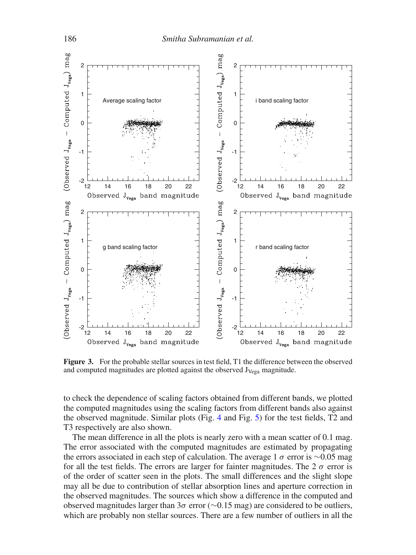<span id="page-11-0"></span>

**Figure 3.** For the probable stellar sources in test field, T1 the difference between the observed and computed magnitudes are plotted against the observed J<sub>Vega</sub> magnitude.

to check the dependence of scaling factors obtained from different bands, we plotted the computed magnitudes using the scaling factors from different bands also against the observed magnitude. Similar plots (Fig. [4](#page-12-0) and Fig. [5\)](#page-13-0) for the test fields, T2 and T3 respectively are also shown.

The mean difference in all the plots is nearly zero with a mean scatter of 0.1 mag. The error associated with the computed magnitudes are estimated by propagating the errors associated in each step of calculation. The average 1  $\sigma$  error is ~0.05 mag for all the test fields. The errors are larger for fainter magnitudes. The  $2\sigma$  error is of the order of scatter seen in the plots. The small differences and the slight slope may all be due to contribution of stellar absorption lines and aperture correction in the observed magnitudes. The sources which show a difference in the computed and observed magnitudes larger than 3σ error (∼0.15 mag) are considered to be outliers, which are probably non stellar sources. There are a few number of outliers in all the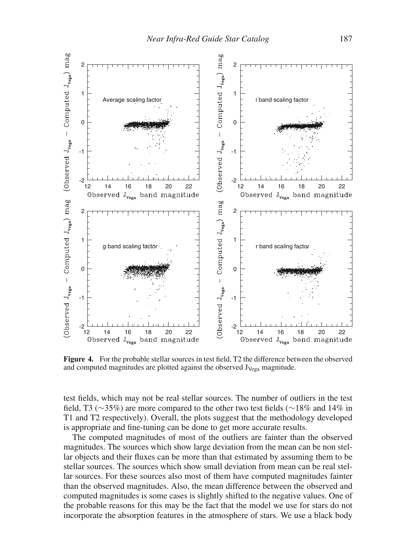<span id="page-12-0"></span>

**Figure 4.** For the probable stellar sources in test field, T2 the difference between the observed and computed magnitudes are plotted against the observed  $J_{Vega}$  magnitude.

test fields, which may not be real stellar sources. The number of outliers in the test field, T3 (∼35%) are more compared to the other two test fields (∼18% and 14% in T1 and T2 respectively). Overall, the plots suggest that the methodology developed is appropriate and fine-tuning can be done to get more accurate results.

The computed magnitudes of most of the outliers are fainter than the observed magnitudes. The sources which show large deviation from the mean can be non stellar objects and their fluxes can be more than that estimated by assuming them to be stellar sources. The sources which show small deviation from mean can be real stellar sources. For these sources also most of them have computed magnitudes fainter than the observed magnitudes. Also, the mean difference between the observed and computed magnitudes is some cases is slightly shifted to the negative values. One of the probable reasons for this may be the fact that the model we use for stars do not incorporate the absorption features in the atmosphere of stars. We use a black body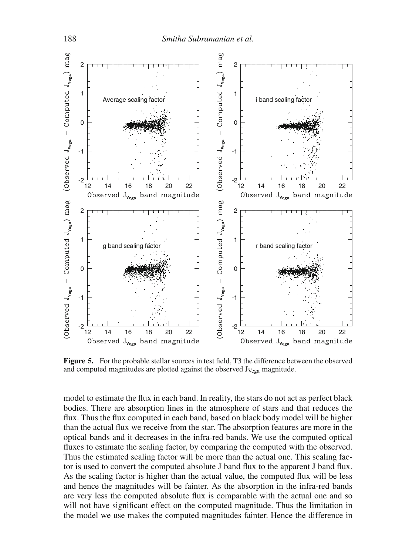<span id="page-13-0"></span>

**Figure 5.** For the probable stellar sources in test field, T3 the difference between the observed and computed magnitudes are plotted against the observed  $J_{Vega}$  magnitude.

model to estimate the flux in each band. In reality, the stars do not act as perfect black bodies. There are absorption lines in the atmosphere of stars and that reduces the flux. Thus the flux computed in each band, based on black body model will be higher than the actual flux we receive from the star. The absorption features are more in the optical bands and it decreases in the infra-red bands. We use the computed optical fluxes to estimate the scaling factor, by comparing the computed with the observed. Thus the estimated scaling factor will be more than the actual one. This scaling factor is used to convert the computed absolute J band flux to the apparent J band flux. As the scaling factor is higher than the actual value, the computed flux will be less and hence the magnitudes will be fainter. As the absorption in the infra-red bands are very less the computed absolute flux is comparable with the actual one and so will not have significant effect on the computed magnitude. Thus the limitation in the model we use makes the computed magnitudes fainter. Hence the difference in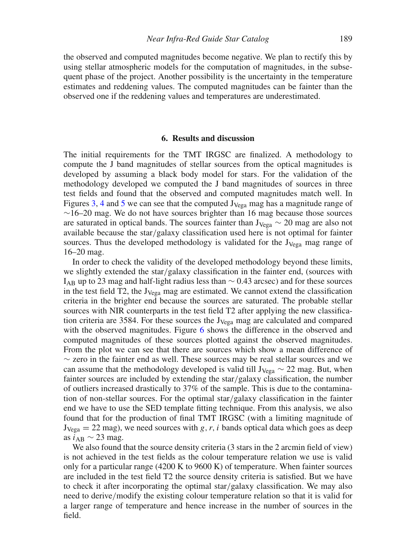the observed and computed magnitudes become negative. We plan to rectify this by using stellar atmospheric models for the computation of magnitudes, in the subsequent phase of the project. Another possibility is the uncertainty in the temperature estimates and reddening values. The computed magnitudes can be fainter than the observed one if the reddening values and temperatures are underestimated.

### **6. Results and discussion**

<span id="page-14-0"></span>The initial requirements for the TMT IRGSC are finalized. A methodology to compute the J band magnitudes of stellar sources from the optical magnitudes is developed by assuming a black body model for stars. For the validation of the methodology developed we computed the J band magnitudes of sources in three test fields and found that the observed and computed magnitudes match well. In Figures [3,](#page-11-0) [4](#page-12-0) and [5](#page-13-0) we can see that the computed  $J_{\text{Vega}}$  mag has a magnitude range of  $\sim$ 16–20 mag. We do not have sources brighter than 16 mag because those sources are saturated in optical bands. The sources fainter than  $J_{Vega} \sim 20$  mag are also not available because the star/galaxy classification used here is not optimal for fainter sources. Thus the developed methodology is validated for the  $J_{Vega}$  mag range of 16–20 mag.

In order to check the validity of the developed methodology beyond these limits, we slightly extended the star/galaxy classification in the fainter end, (sources with I<sub>AB</sub> up to 23 mag and half-light radius less than  $\sim$  0.43 arcsec) and for these sources in the test field T2, the  $J_{\text{Vega}}$  mag are estimated. We cannot extend the classification criteria in the brighter end because the sources are saturated. The probable stellar sources with NIR counterparts in the test field T2 after applying the new classification criteria are 3584. For these sources the  $J_{\text{Vega}}$  mag are calculated and compared with the observed magnitudes. Figure [6](#page-15-1) shows the difference in the observed and computed magnitudes of these sources plotted against the observed magnitudes. From the plot we can see that there are sources which show a mean difference of  $\sim$  zero in the fainter end as well. These sources may be real stellar sources and we can assume that the methodology developed is valid till J<sub>Vega</sub>  $\sim$  22 mag. But, when fainter sources are included by extending the star/galaxy classification, the number of outliers increased drastically to 37% of the sample. This is due to the contamination of non-stellar sources. For the optimal star/galaxy classification in the fainter end we have to use the SED template fitting technique. From this analysis, we also found that for the production of final TMT IRGSC (with a limiting magnitude of  $J_{\text{Vega}} = 22 \text{ mag}$ , we need sources with *g*, *r*, *i* bands optical data which goes as deep as  $i_{AB} \sim 23$  mag.

We also found that the source density criteria (3 stars in the 2 arcmin field of view) is not achieved in the test fields as the colour temperature relation we use is valid only for a particular range  $(4200 \text{ K})$  to  $9600 \text{ K}$ ) of temperature. When fainter sources are included in the test field T2 the source density criteria is satisfied. But we have to check it after incorporating the optimal star/galaxy classification. We may also need to derive/modify the existing colour temperature relation so that it is valid for a larger range of temperature and hence increase in the number of sources in the field.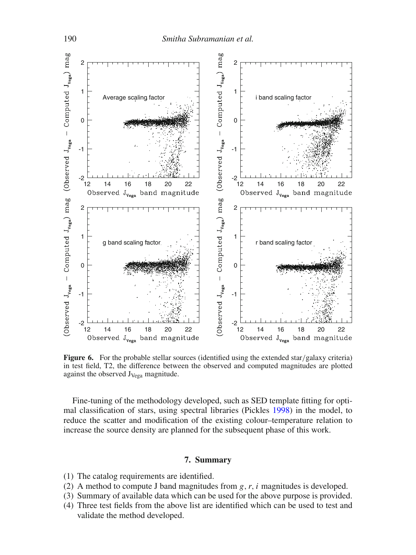<span id="page-15-1"></span>

**Figure 6.** For the probable stellar sources (identified using the extended star/galaxy criteria) in test field, T2, the difference between the observed and computed magnitudes are plotted against the observed  $J_{\text{Vega}}$  magnitude.

Fine-tuning of the methodology developed, such as SED template fitting for optimal classification of stars, using spectral libraries (Pickle[s](#page-17-23) [1998](#page-17-23)) in the model, to reduce the scatter and modification of the existing colour–temperature relation to increase the source density are planned for the subsequent phase of this work.

# **7. Summary**

- <span id="page-15-0"></span>(1) The catalog requirements are identified.
- (2) A method to compute J band magnitudes from *g*,*r*,*i* magnitudes is developed.
- (3) Summary of available data which can be used for the above purpose is provided.
- (4) Three test fields from the above list are identified which can be used to test and validate the method developed.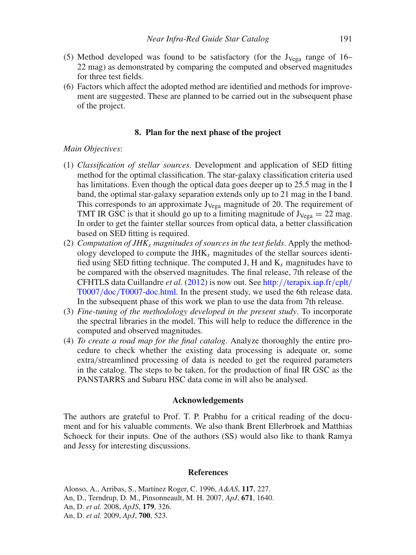- (5) Method developed was found to be satisfactory (for the  $J_{\text{Vega}}$  range of 16– 22 mag) as demonstrated by comparing the computed and observed magnitudes for three test fields.
- (6) Factors which affect the adopted method are identified and methods for improvement are suggested. These are planned to be carried out in the subsequent phase of the project.

### **8. Plan for the next phase of the project**

#### <span id="page-16-0"></span>*Main Objectives*:

- (1) *Classification of stellar sources*. Development and application of SED fitting method for the optimal classification. The star-galaxy classification criteria used has limitations. Even though the optical data goes deeper up to 25.5 mag in the I band, the optimal star-galaxy separation extends only up to 21 mag in the I band. This corresponds to an approximate  $J_{Vega}$  magnitude of 20. The requirement of TMT IR GSC is that it should go up to a limiting magnitude of  $J_{\text{Vega}} = 22$  mag. In order to get the fainter stellar sources from optical data, a better classification based on SED fitting is required.
- (2) *Computation of JHKs magnitudes of sources in the test fields*. Apply the methodology developed to compute the JHK*s* magnitudes of the stellar sources identified using SED fitting technique. The computed J, H and K*s* magnitudes have to be compared with the observed magnitudes. The final release, 7th release of the CFHTLS data Cuillandre *et al[.](#page-17-24)* [\(2012](#page-17-24)) is now out. See http://[terapix.iap.fr](http://terapix.iap.fr/cplt/T0007/doc/T0007-doc.html)/cplt/ T0007/doc/[T0007-doc.html.](http://terapix.iap.fr/cplt/T0007/doc/T0007-doc.html) In the present study, we used the 6th release data. In the subsequent phase of this work we plan to use the data from 7th release.
- (3) *Fine-tuning of the methodology developed in the present study*. To incorporate the spectral libraries in the model. This will help to reduce the difference in the computed and observed magnitudes.
- (4) *To create a road map for the final catalog*. Analyze thoroughly the entire procedure to check whether the existing data processing is adequate or, some extra/streamlined processing of data is needed to get the required parameters in the catalog. The steps to be taken, for the production of final IR GSC as the PANSTARRS and Subaru HSC data come in will also be analysed.

#### **Acknowledgements**

The authors are grateful to Prof. T. P. Prabhu for a critical reading of the document and for his valuable comments. We also thank Brent Ellerbroek and Matthias Schoeck for their inputs. One of the authors (SS) would also like to thank Ramya and Jessy for interesting discussions.

#### **References**

<span id="page-16-4"></span><span id="page-16-3"></span><span id="page-16-2"></span><span id="page-16-1"></span>Alonso, A., Arribas, S., Martínez Roger, C. 1996, *A&AS*, **117**, 227. An, D., Terndrup, D. M., Pinsonneault, M. H. 2007, *ApJ*, **671**, 1640. An, D. *et al.* 2008, *ApJS*, **179**, 326. An, D. *et al.* 2009, *ApJ*, **700**, 523.